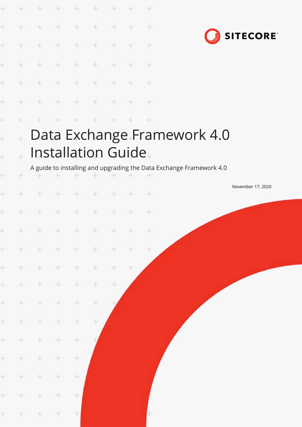|        |        |                     |                      | ÷             | ÷      |        |        | ÷     |                                                                     |
|--------|--------|---------------------|----------------------|---------------|--------|--------|--------|-------|---------------------------------------------------------------------|
|        | ÷      | ÷                   | $\rightarrow$        | $\frac{1}{2}$ | $+$    | ÷      |        | ÷     |                                                                     |
|        |        | ÷                   | ÷                    | ÷             | ÷      |        |        | ÷     | <b>SITECORE</b>                                                     |
|        |        |                     |                      |               |        |        |        | ÷     |                                                                     |
|        |        |                     |                      |               |        |        |        | ÷     |                                                                     |
|        |        |                     |                      |               |        |        |        | ÷     |                                                                     |
| ł      |        |                     |                      |               |        |        |        | ÷     |                                                                     |
| ł<br>ł | ÷      | Installation Guide. |                      |               |        |        |        |       | Data Exchange Framework 4.0                                         |
|        | ÷      |                     |                      | ÷             |        |        |        |       | A guide to installing and upgrading the Data Exchange Framework 4.0 |
|        |        |                     |                      | ÷             | ÷      |        | -      | ÷     | November 17, 2020                                                   |
|        |        |                     | ÷                    | ÷             | ÷      | ÷      |        | ÷     |                                                                     |
|        | ÷      | $+ + + + + + + +$   |                      |               |        |        | $+$    | $\pm$ |                                                                     |
| $\pm$  | $+$    | $\pm$               | $+ + +$              |               | $-+$   | $+$    | $+$    | $\pm$ |                                                                     |
| $\pm$  | $+$    | $+$                 | $\div$               | $\div$        | $\div$ | $+ \,$ | $\div$ |       |                                                                     |
| $\pm$  | $+$    | $\pm$               | $\pm$                | ÷             | ÷      | $\pm$  |        |       |                                                                     |
| $\pm$  | $\pm$  | $+$                 | $\pm$                | $\div$        | ÷      |        |        |       |                                                                     |
| $\pm$  | $\pm$  | $\pm$               | $\pm$                | ÷             | ÷      |        |        |       |                                                                     |
| $\pm$  | ÷      | $\div$              | ÷                    | $\pm$         |        |        |        |       |                                                                     |
| $\pm$  | $\div$ | $\pm$               | ÷                    | $\div$        |        |        |        |       |                                                                     |
| $\pm$  | $\div$ | $\pm$               | ÷                    | ÷             |        |        |        |       |                                                                     |
| $\pm$  | $\pm$  | $\pm$               | $\frac{1}{\sqrt{2}}$ | ÷             |        |        |        |       |                                                                     |
| $\pm$  | $\pm$  | $\pm$               | $\pm$                | ÷             |        |        |        |       |                                                                     |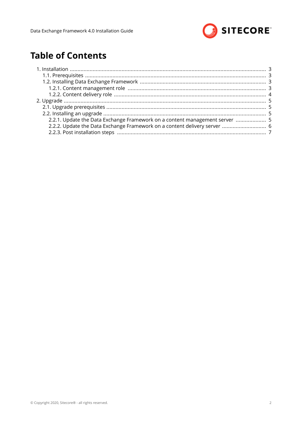

# **Table of Contents**

| 2.2.1. Update the Data Exchange Framework on a content management server  5 |  |
|-----------------------------------------------------------------------------|--|
| 2.2.2. Update the Data Exchange Framework on a content delivery server  6   |  |
|                                                                             |  |
|                                                                             |  |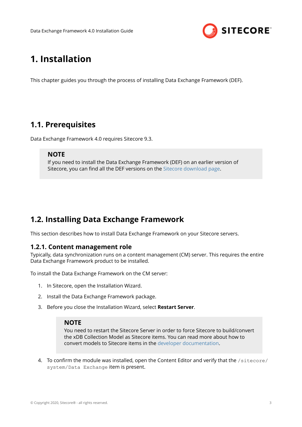

# <span id="page-2-0"></span>**1. Installation**

This chapter guides you through the process of installing Data Exchange Framework (DEF).

# **1.1. Prerequisites**

Data Exchange Framework 4.0 requires Sitecore 9.3.

### **NOTE**

If you need to install the Data Exchange Framework (DEF) on an earlier version of Sitecore, you can find all the DEF versions on the [Sitecore download page.](https://dev.sitecore.net/Downloads/Data_Exchange_Framework.aspx)

# **1.2. Installing Data Exchange Framework**

This section describes how to install Data Exchange Framework on your Sitecore servers.

### **1.2.1. Content management role**

Typically, data synchronization runs on a content management (CM) server. This requires the entire Data Exchange Framework product to be installed.

To install the Data Exchange Framework on the CM server:

- 1. In Sitecore, open the Installation Wizard.
- 2. Install the Data Exchange Framework package.
- 3. Before you close the Installation Wizard, select **Restart Server**.

#### **NOTE**

You need to restart the Sitecore Server in order to force Sitecore to build/convert the xDB Collection Model as Sitecore items. You can read more about how to convert models to Sitecore items in the [developer documentation.](https://doc.sitecore.com/developers)

4. To confirm the module was installed, open the Content Editor and verify that the /sitecore/ system/Data Exchange item is present.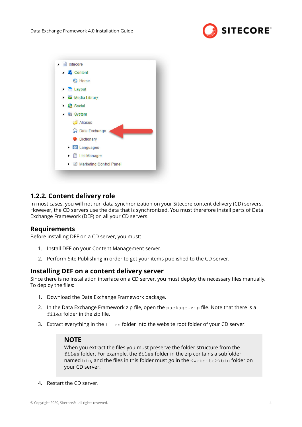

<span id="page-3-0"></span>

## **1.2.2. Content delivery role**

In most cases, you will not run data synchronization on your Sitecore content delivery (CD) servers. However, the CD servers use the data that is synchronized. You must therefore install parts of Data Exchange Framework (DEF) on all your CD servers.

### **Requirements**

Before installing DEF on a CD server, you must:

- 1. Install DEF on your Content Management server.
- 2. Perform Site Publishing in order to get your items published to the CD server.

### **Installing DEF on a content delivery server**

Since there is no installation interface on a CD server, you must deploy the necessary files manually. To deploy the files:

- 1. Download the Data Exchange Framework package.
- 2. In the Data Exchange Framework zip file, open the  $package$ .  $zip$  file. Note that there is a files folder in the zip file.
- 3. Extract everything in the files folder into the website root folder of your CD server.

#### **NOTE**

When you extract the files you must preserve the folder structure from the files folder. For example, the files folder in the zip contains a subfolder named bin, and the files in this folder must go in the <website>\bin folder on your CD server.

4. Restart the CD server.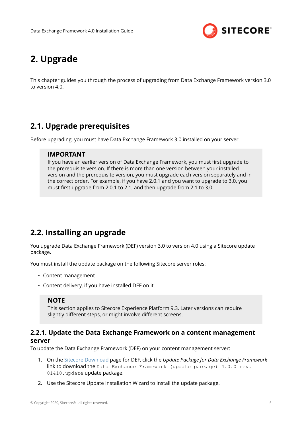

# <span id="page-4-0"></span>**2. Upgrade**

This chapter guides you through the process of upgrading from Data Exchange Framework version 3.0 to version 4.0.

# **2.1. Upgrade prerequisites**

Before upgrading, you must have Data Exchange Framework 3.0 installed on your server.

### **IMPORTANT**

If you have an earlier version of Data Exchange Framework, you must first upgrade to the prerequisite version. If there is more than one version between your installed version and the prerequisite version, you must upgrade each version separately and in the correct order. For example, if you have 2.0.1 and you want to upgrade to 3.0, you must first upgrade from 2.0.1 to 2.1, and then upgrade from 2.1 to 3.0.

# **2.2. Installing an upgrade**

You upgrade Data Exchange Framework (DEF) version 3.0 to version 4.0 using a Sitecore update package.

You must install the update package on the following Sitecore server roles:

- Content management
- Content delivery, if you have installed DEF on it.

### **NOTE**

This section applies to Sitecore Experience Platform 9.3. Later versions can require slightly different steps, or might involve different screens.

### **2.2.1. Update the Data Exchange Framework on a content management server**

To update the Data Exchange Framework (DEF) on your content management server:

- 1. On the [Sitecore Download](https://dev.sitecore.net/downloads) page for DEF, click the *Update Package for Data Exchange Framework* link to download the Data Exchange Framework (update package) 4.0.0 rev. 01410.update update package.
- 2. Use the Sitecore Update Installation Wizard to install the update package.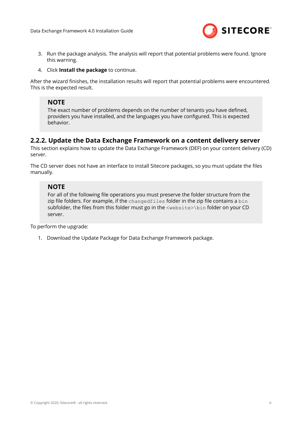

- <span id="page-5-0"></span>3. Run the package analysis. The analysis will report that potential problems were found. Ignore this warning.
- 4. Click **Install the package** to continue.

After the wizard finishes, the installation results will report that potential problems were encountered. This is the expected result.

## **NOTE**

The exact number of problems depends on the number of tenants you have defined, providers you have installed, and the languages you have configured. This is expected behavior.

### **2.2.2. Update the Data Exchange Framework on a content delivery server**

This section explains how to update the Data Exchange Framework (DEF) on your content delivery (CD) server.

The CD server does not have an interface to install Sitecore packages, so you must update the files manually.

### **NOTE**

For all of the following file operations you must preserve the folder structure from the zip file folders. For example, if the changedfiles folder in the zip file contains a bin subfolder, the files from this folder must go in the <website>\bin folder on your CD server.

To perform the upgrade:

1. Download the Update Package for Data Exchange Framework package.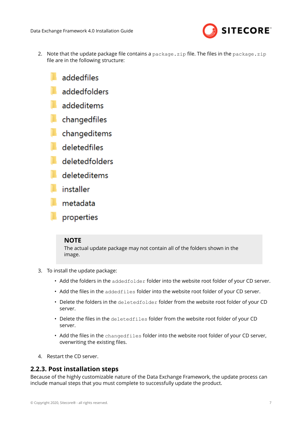

- <span id="page-6-0"></span>2. Note that the update package file contains a package, zip file. The files in the package, zip file are in the following structure:
	- addedfiles
	- addedfolders
	- addeditems
	- changedfiles
	- changeditems
	- deletedfiles
	- deletedfolders
	- deleteditems
	- installer
	- metadata
	- properties

#### **NOTE**

The actual update package may not contain all of the folders shown in the image.

- 3. To install the update package:
	- Add the folders in the addedfolder folder into the website root folder of your CD server.
	- Add the files in the addedfiles folder into the website root folder of your CD server.
	- Delete the folders in the deletedfolder folder from the website root folder of your CD server.
	- Delete the files in the deletedfiles folder from the website root folder of your CD server.
	- Add the files in the changedfiles folder into the website root folder of your CD server, overwriting the existing files.
- 4. Restart the CD server.

### **2.2.3. Post installation steps**

Because of the highly customizable nature of the Data Exchange Framework, the update process can include manual steps that you must complete to successfully update the product.